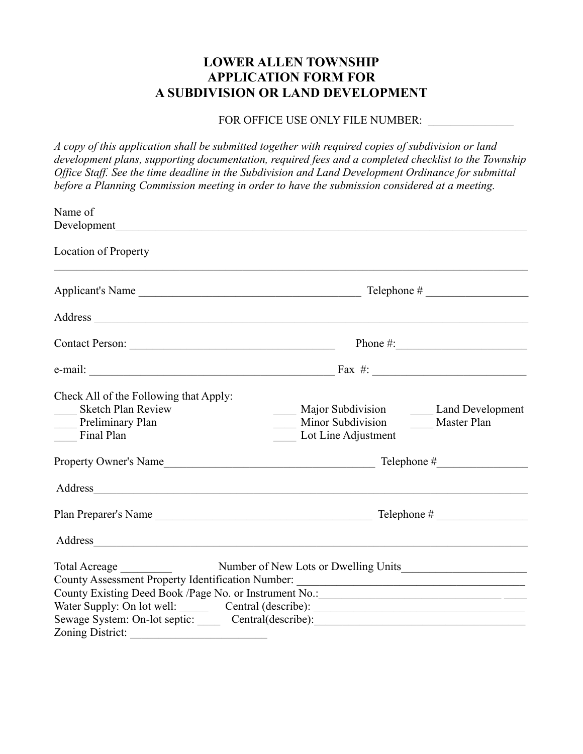## **LOWER ALLEN TOWNSHIP APPLICATION FORM FOR A SUBDIVISION OR LAND DEVELOPMENT**

## FOR OFFICE USE ONLY FILE NUMBER:

*A copy of this application shall be submitted together with required copies of subdivision or land development plans, supporting documentation, required fees and a completed checklist to the Township Office Staff. See the time deadline in the Subdivision and Land Development Ordinance for submittal before a Planning Commission meeting in order to have the submission considered at a meeting.* 

| Name of                                                                                               |                                                                                                                                                                                                                                |
|-------------------------------------------------------------------------------------------------------|--------------------------------------------------------------------------------------------------------------------------------------------------------------------------------------------------------------------------------|
|                                                                                                       |                                                                                                                                                                                                                                |
| <b>Location of Property</b>                                                                           |                                                                                                                                                                                                                                |
|                                                                                                       |                                                                                                                                                                                                                                |
|                                                                                                       |                                                                                                                                                                                                                                |
|                                                                                                       | Contact Person: Phone #: Phone #:                                                                                                                                                                                              |
|                                                                                                       |                                                                                                                                                                                                                                |
| Check All of the Following that Apply:<br><b>Sketch Plan Review</b><br>Preliminary Plan<br>Final Plan | Major Subdivision _______ Land Development<br>Minor Subdivision Master Plan<br>Lot Line Adjustment                                                                                                                             |
|                                                                                                       |                                                                                                                                                                                                                                |
|                                                                                                       |                                                                                                                                                                                                                                |
|                                                                                                       |                                                                                                                                                                                                                                |
|                                                                                                       | Address and the contract of the contract of the contract of the contract of the contract of the contract of the contract of the contract of the contract of the contract of the contract of the contract of the contract of th |
|                                                                                                       |                                                                                                                                                                                                                                |
|                                                                                                       | County Assessment Property Identification Number: ______________________________                                                                                                                                               |
|                                                                                                       |                                                                                                                                                                                                                                |
|                                                                                                       | Water Supply: On lot well: ________ Central (describe): ________________________                                                                                                                                               |
|                                                                                                       | Sewage System: On-lot septic: ______ Central(describe): _________________________                                                                                                                                              |
| Zoning District:                                                                                      |                                                                                                                                                                                                                                |